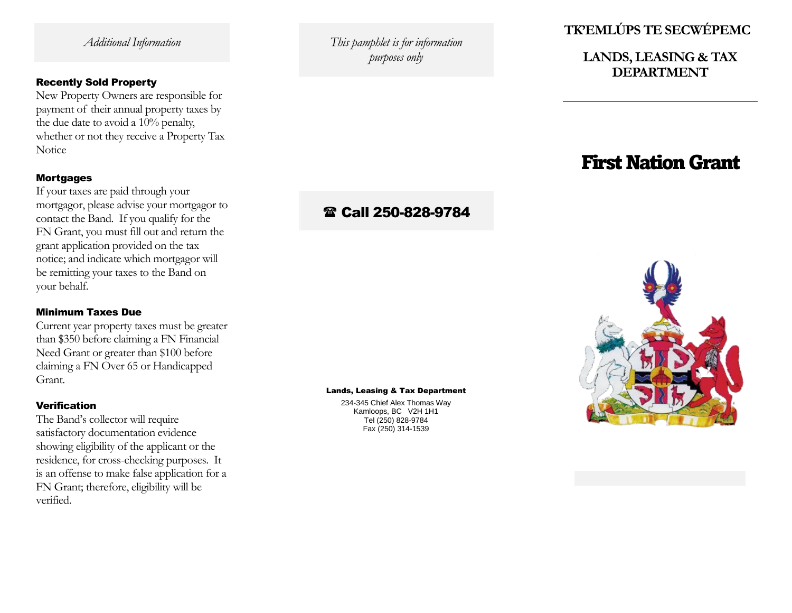*Additional Information*

### Recently Sold Property

New Property Owners are responsible for payment of their annual property taxes by the due date to avoid a 10% penalty, whether or not they receive a Property Tax Notice

### **Mortgages**

If you r taxes are paid through your mortgagor, please advise your mortgagor to contact the Band. If you qualify for the FN Grant, you must fill out and return the grant application provided on the tax notice; and indicate which mortgagor will be remitting you r taxes to the Band on your behalf.

### Minimum Taxes Due

Current year property taxes must be greater than \$350 before claiming a FN Financial Need Grant or greater than \$100 before claiming a FN Over 65 or Handicapped Grant.

#### Verification

The Band's collector will require satisfactory documentation evidence showing eligibility of the applicant or the residence, for cross -checking purposes. It is an offense to make false application for a FN Grant; therefore, eligibility will be verified.

*This pamphlet is for information purposes only*

# **TK'EMLÚPS TE SECWÉ P EMC**

# **LANDS, LEASING & TAX DEPARTMENT**

# First Nation Grant

# Call 250 -828 -9784

#### Lands, Leasing & Tax Department

234 -345 Chief Alex Thomas Way Kamloops, BC V2H 1H1 Tel (250) 828 -9784 Fax (250) 314 -1539